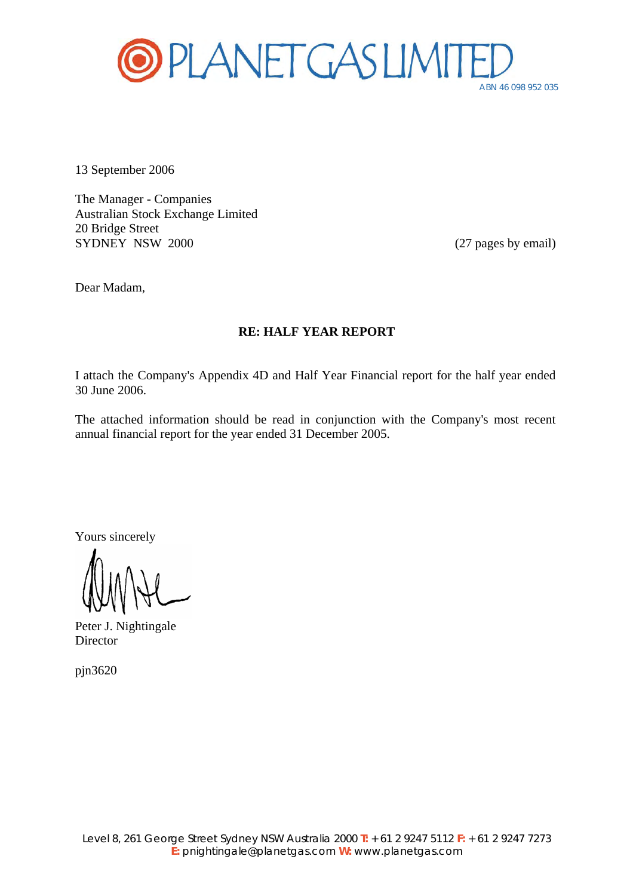

13 September 2006

The Manager - Companies Australian Stock Exchange Limited 20 Bridge Street SYDNEY NSW 2000 (27 pages by email)

Dear Madam,

### **RE: HALF YEAR REPORT**

I attach the Company's Appendix 4D and Half Year Financial report for the half year ended 30 June 2006.

The attached information should be read in conjunction with the Company's most recent annual financial report for the year ended 31 December 2005.

Yours sincerely

Peter J. Nightingale Director

pjn3620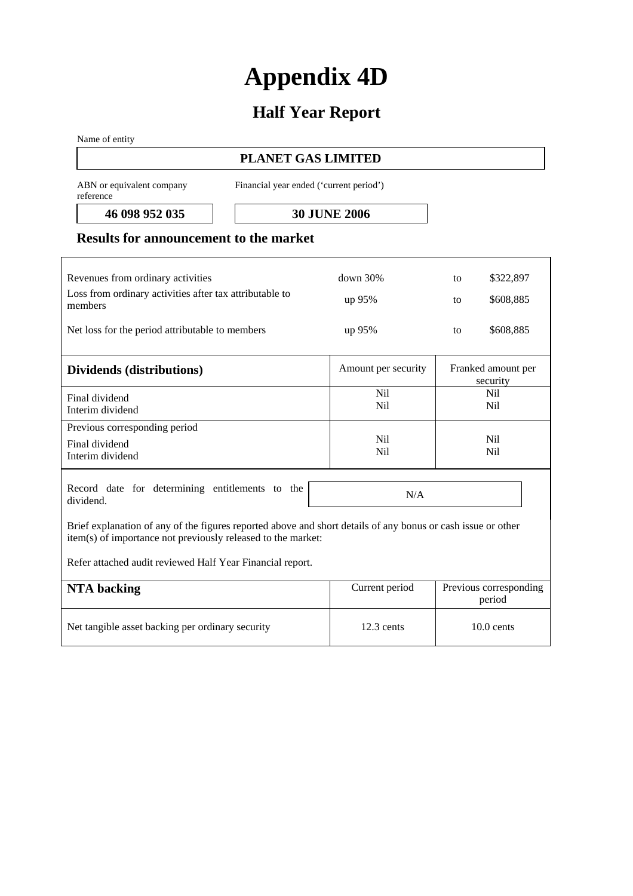# **Appendix 4D**

# **Half Year Report**

Name of entity

# **PLANET GAS LIMITED**

ABN or equivalent company reference

Financial year ended ('current period')

**46 098 952 035 30 JUNE 2006** 

### **Results for announcement to the market**

| Revenues from ordinary activities<br>Loss from ordinary activities after tax attributable to<br>members<br>Net loss for the period attributable to members                   | $down$ 30%<br>up 95%<br>up 95% | \$322,897<br>to<br>\$608,885<br>to<br>\$608,885<br>to |  |  |
|------------------------------------------------------------------------------------------------------------------------------------------------------------------------------|--------------------------------|-------------------------------------------------------|--|--|
| Dividends (distributions)                                                                                                                                                    | Amount per security            | Franked amount per<br>security                        |  |  |
| Final dividend<br>Interim dividend                                                                                                                                           | Nil.<br><b>Nil</b>             | Nil<br>N <sub>il</sub>                                |  |  |
| Previous corresponding period<br>Final dividend<br>Interim dividend                                                                                                          | Nil.<br>Nil                    | Nil<br>Nil                                            |  |  |
| Record date for determining entitlements to the<br>dividend.                                                                                                                 | N/A                            |                                                       |  |  |
| Brief explanation of any of the figures reported above and short details of any bonus or cash issue or other<br>item(s) of importance not previously released to the market: |                                |                                                       |  |  |

Refer attached audit reviewed Half Year Financial report.

| NTA backing                                      | Current period | Previous corresponding<br>period |
|--------------------------------------------------|----------------|----------------------------------|
| Net tangible asset backing per ordinary security | $12.3$ cents   | $10.0$ cents                     |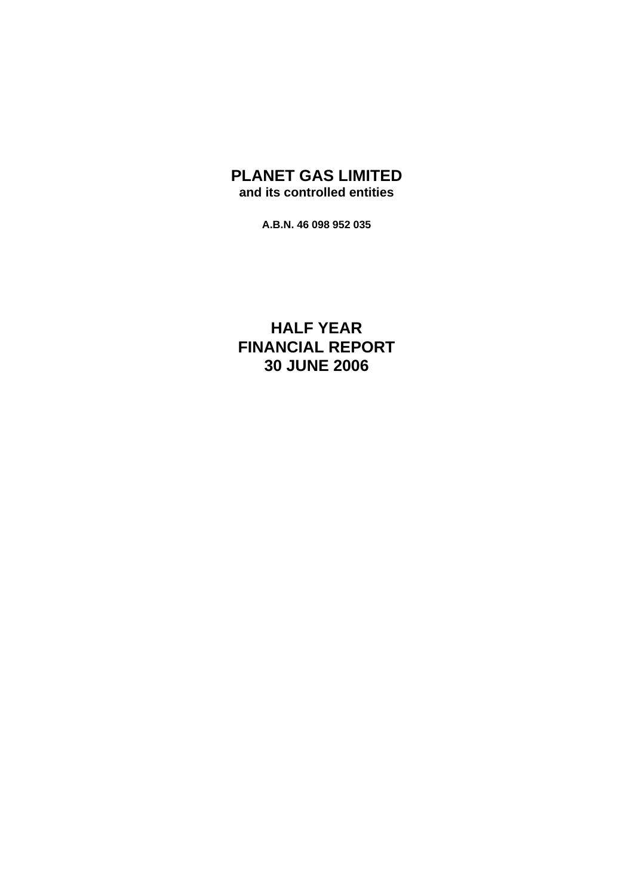# **PLANET GAS LIMITED and its controlled entities**

**A.B.N. 46 098 952 035** 

**HALF YEAR FINANCIAL REPORT 30 JUNE 2006**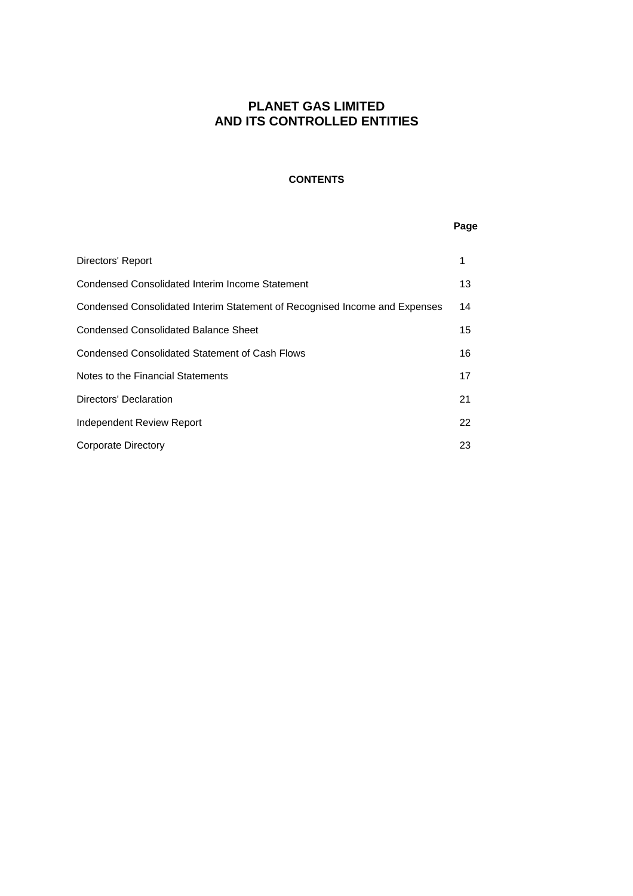### **CONTENTS**

### **Page**

| Directors' Report                                                          | 1  |
|----------------------------------------------------------------------------|----|
| Condensed Consolidated Interim Income Statement                            | 13 |
| Condensed Consolidated Interim Statement of Recognised Income and Expenses | 14 |
| Condensed Consolidated Balance Sheet                                       | 15 |
| Condensed Consolidated Statement of Cash Flows                             | 16 |
| Notes to the Financial Statements                                          | 17 |
| Directors' Declaration                                                     | 21 |
| Independent Review Report                                                  | 22 |
| <b>Corporate Directory</b>                                                 | 23 |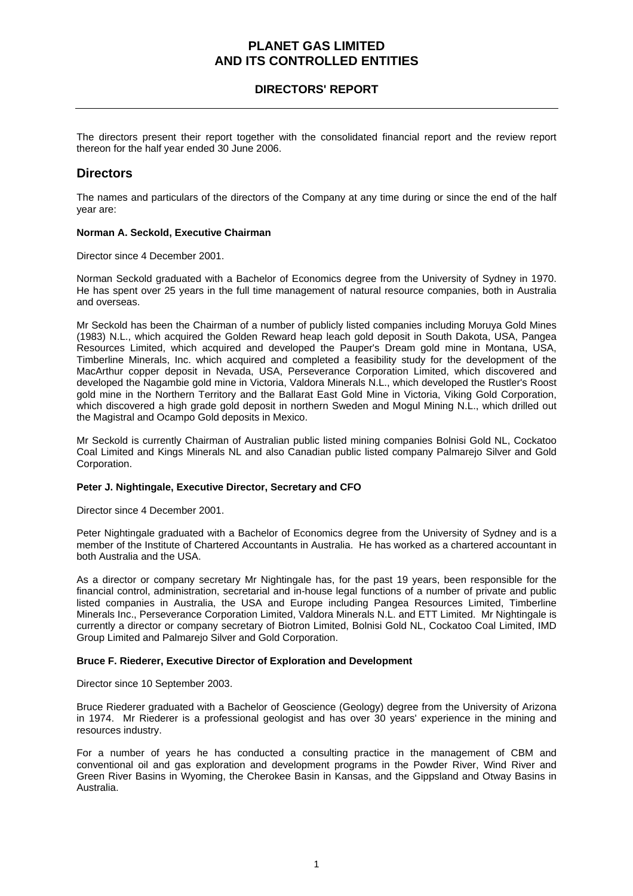### **DIRECTORS' REPORT**

The directors present their report together with the consolidated financial report and the review report thereon for the half year ended 30 June 2006.

### **Directors**

The names and particulars of the directors of the Company at any time during or since the end of the half year are:

#### **Norman A. Seckold, Executive Chairman**

Director since 4 December 2001.

Norman Seckold graduated with a Bachelor of Economics degree from the University of Sydney in 1970. He has spent over 25 years in the full time management of natural resource companies, both in Australia and overseas.

Mr Seckold has been the Chairman of a number of publicly listed companies including Moruya Gold Mines (1983) N.L., which acquired the Golden Reward heap leach gold deposit in South Dakota, USA, Pangea Resources Limited, which acquired and developed the Pauper's Dream gold mine in Montana, USA, Timberline Minerals, Inc. which acquired and completed a feasibility study for the development of the MacArthur copper deposit in Nevada, USA, Perseverance Corporation Limited, which discovered and developed the Nagambie gold mine in Victoria, Valdora Minerals N.L., which developed the Rustler's Roost gold mine in the Northern Territory and the Ballarat East Gold Mine in Victoria, Viking Gold Corporation, which discovered a high grade gold deposit in northern Sweden and Mogul Mining N.L., which drilled out the Magistral and Ocampo Gold deposits in Mexico.

Mr Seckold is currently Chairman of Australian public listed mining companies Bolnisi Gold NL, Cockatoo Coal Limited and Kings Minerals NL and also Canadian public listed company Palmarejo Silver and Gold Corporation.

#### **Peter J. Nightingale, Executive Director, Secretary and CFO**

Director since 4 December 2001.

Peter Nightingale graduated with a Bachelor of Economics degree from the University of Sydney and is a member of the Institute of Chartered Accountants in Australia. He has worked as a chartered accountant in both Australia and the USA.

As a director or company secretary Mr Nightingale has, for the past 19 years, been responsible for the financial control, administration, secretarial and in-house legal functions of a number of private and public listed companies in Australia, the USA and Europe including Pangea Resources Limited, Timberline Minerals Inc., Perseverance Corporation Limited, Valdora Minerals N.L. and ETT Limited. Mr Nightingale is currently a director or company secretary of Biotron Limited, Bolnisi Gold NL, Cockatoo Coal Limited, IMD Group Limited and Palmarejo Silver and Gold Corporation.

#### **Bruce F. Riederer, Executive Director of Exploration and Development**

Director since 10 September 2003.

Bruce Riederer graduated with a Bachelor of Geoscience (Geology) degree from the University of Arizona in 1974. Mr Riederer is a professional geologist and has over 30 years' experience in the mining and resources industry.

For a number of years he has conducted a consulting practice in the management of CBM and conventional oil and gas exploration and development programs in the Powder River, Wind River and Green River Basins in Wyoming, the Cherokee Basin in Kansas, and the Gippsland and Otway Basins in Australia.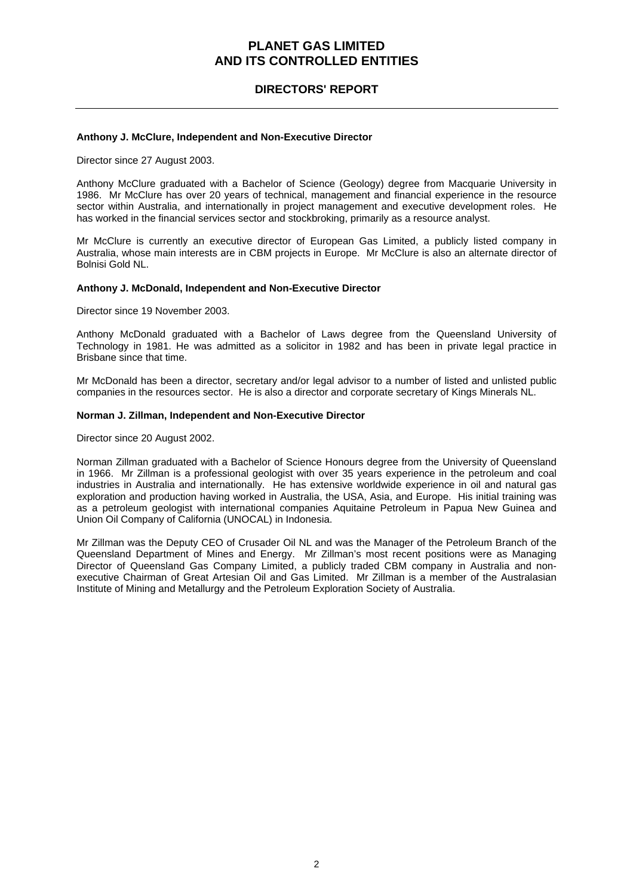### **DIRECTORS' REPORT**

#### **Anthony J. McClure, Independent and Non-Executive Director**

Director since 27 August 2003.

Anthony McClure graduated with a Bachelor of Science (Geology) degree from Macquarie University in 1986. Mr McClure has over 20 years of technical, management and financial experience in the resource sector within Australia, and internationally in project management and executive development roles. He has worked in the financial services sector and stockbroking, primarily as a resource analyst.

Mr McClure is currently an executive director of European Gas Limited, a publicly listed company in Australia, whose main interests are in CBM projects in Europe. Mr McClure is also an alternate director of Bolnisi Gold NL.

#### **Anthony J. McDonald, Independent and Non-Executive Director**

Director since 19 November 2003.

Anthony McDonald graduated with a Bachelor of Laws degree from the Queensland University of Technology in 1981. He was admitted as a solicitor in 1982 and has been in private legal practice in Brisbane since that time.

Mr McDonald has been a director, secretary and/or legal advisor to a number of listed and unlisted public companies in the resources sector. He is also a director and corporate secretary of Kings Minerals NL.

#### **Norman J. Zillman, Independent and Non-Executive Director**

Director since 20 August 2002.

Norman Zillman graduated with a Bachelor of Science Honours degree from the University of Queensland in 1966. Mr Zillman is a professional geologist with over 35 years experience in the petroleum and coal industries in Australia and internationally. He has extensive worldwide experience in oil and natural gas exploration and production having worked in Australia, the USA, Asia, and Europe. His initial training was as a petroleum geologist with international companies Aquitaine Petroleum in Papua New Guinea and Union Oil Company of California (UNOCAL) in Indonesia.

Mr Zillman was the Deputy CEO of Crusader Oil NL and was the Manager of the Petroleum Branch of the Queensland Department of Mines and Energy. Mr Zillman's most recent positions were as Managing Director of Queensland Gas Company Limited, a publicly traded CBM company in Australia and nonexecutive Chairman of Great Artesian Oil and Gas Limited. Mr Zillman is a member of the Australasian Institute of Mining and Metallurgy and the Petroleum Exploration Society of Australia.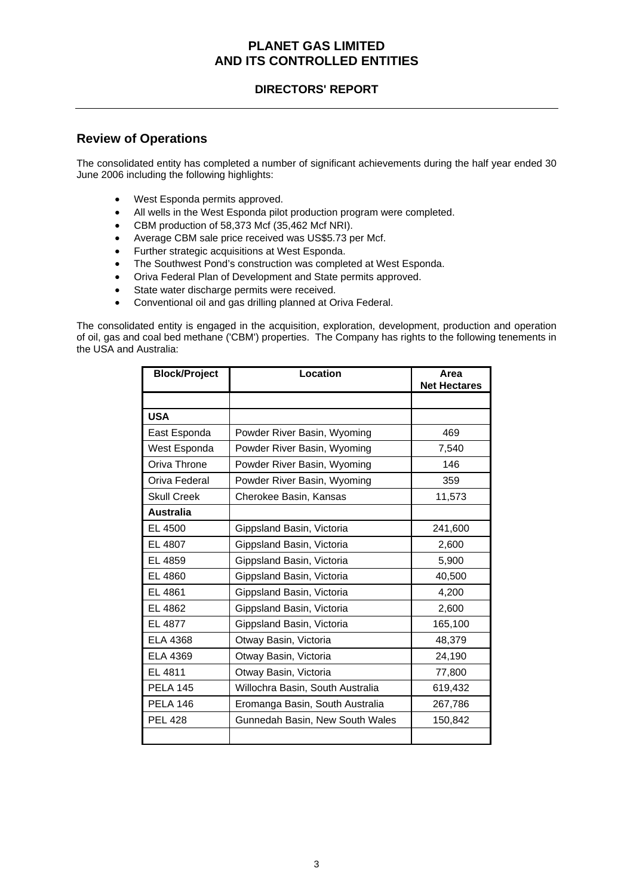### **DIRECTORS' REPORT**

### **Review of Operations**

The consolidated entity has completed a number of significant achievements during the half year ended 30 June 2006 including the following highlights:

- West Esponda permits approved.
- All wells in the West Esponda pilot production program were completed.
- CBM production of 58,373 Mcf (35,462 Mcf NRI).
- Average CBM sale price received was US\$5.73 per Mcf.
- Further strategic acquisitions at West Esponda.
- The Southwest Pond's construction was completed at West Esponda.
- Oriva Federal Plan of Development and State permits approved.
- State water discharge permits were received.
- Conventional oil and gas drilling planned at Oriva Federal.

The consolidated entity is engaged in the acquisition, exploration, development, production and operation of oil, gas and coal bed methane ('CBM') properties. The Company has rights to the following tenements in the USA and Australia:

| <b>Block/Project</b> | Location                         | Area<br><b>Net Hectares</b> |
|----------------------|----------------------------------|-----------------------------|
|                      |                                  |                             |
| <b>USA</b>           |                                  |                             |
| East Esponda         | Powder River Basin, Wyoming      | 469                         |
| West Esponda         | Powder River Basin, Wyoming      | 7,540                       |
| Oriva Throne         | Powder River Basin, Wyoming      | 146                         |
| Oriva Federal        | Powder River Basin, Wyoming      | 359                         |
| <b>Skull Creek</b>   | Cherokee Basin, Kansas           | 11,573                      |
| <b>Australia</b>     |                                  |                             |
| EL 4500              | Gippsland Basin, Victoria        | 241,600                     |
| EL 4807              | Gippsland Basin, Victoria        | 2,600                       |
| EL 4859              | Gippsland Basin, Victoria        | 5,900                       |
| EL 4860              | Gippsland Basin, Victoria        | 40,500                      |
| EL 4861              | Gippsland Basin, Victoria        | 4,200                       |
| EL 4862              | Gippsland Basin, Victoria        | 2,600                       |
| EL 4877              | Gippsland Basin, Victoria        | 165,100                     |
| ELA 4368             | Otway Basin, Victoria            | 48,379                      |
| <b>ELA 4369</b>      | Otway Basin, Victoria            | 24,190                      |
| EL 4811              | Otway Basin, Victoria            | 77,800                      |
| <b>PELA 145</b>      | Willochra Basin, South Australia | 619,432                     |
| <b>PELA 146</b>      | Eromanga Basin, South Australia  | 267,786                     |
| <b>PEL 428</b>       | Gunnedah Basin, New South Wales  | 150,842                     |
|                      |                                  |                             |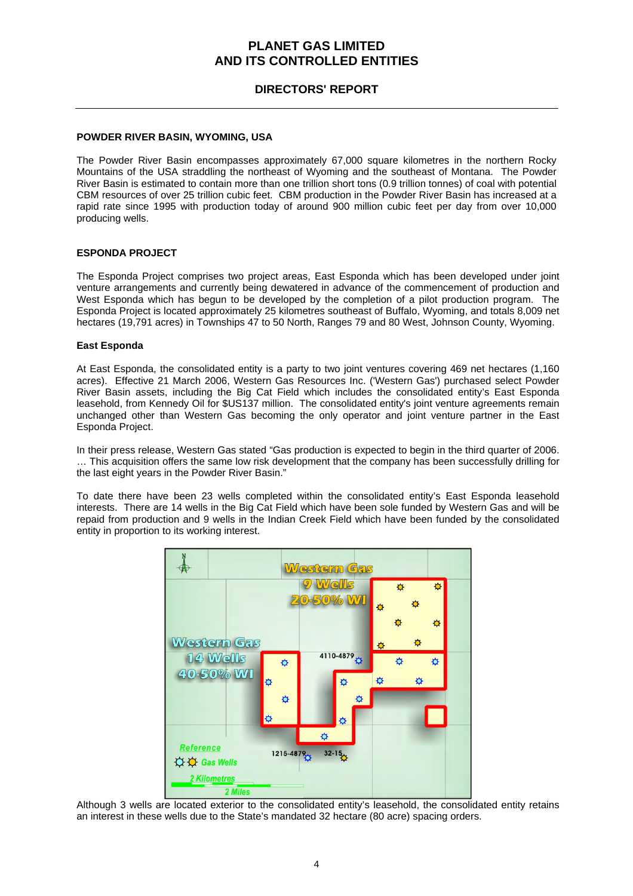### **DIRECTORS' REPORT**

#### **POWDER RIVER BASIN, WYOMING, USA**

The Powder River Basin encompasses approximately 67,000 square kilometres in the northern Rocky Mountains of the USA straddling the northeast of Wyoming and the southeast of Montana. The Powder River Basin is estimated to contain more than one trillion short tons (0.9 trillion tonnes) of coal with potential CBM resources of over 25 trillion cubic feet. CBM production in the Powder River Basin has increased at a rapid rate since 1995 with production today of around 900 million cubic feet per day from over 10,000 producing wells.

#### **ESPONDA PROJECT**

The Esponda Project comprises two project areas, East Esponda which has been developed under joint venture arrangements and currently being dewatered in advance of the commencement of production and West Esponda which has begun to be developed by the completion of a pilot production program. The Esponda Project is located approximately 25 kilometres southeast of Buffalo, Wyoming, and totals 8,009 net hectares (19,791 acres) in Townships 47 to 50 North, Ranges 79 and 80 West, Johnson County, Wyoming.

#### **East Esponda**

At East Esponda, the consolidated entity is a party to two joint ventures covering 469 net hectares (1,160 acres). Effective 21 March 2006, Western Gas Resources Inc. ('Western Gas') purchased select Powder River Basin assets, including the Big Cat Field which includes the consolidated entity's East Esponda leasehold, from Kennedy Oil for \$US137 million. The consolidated entity's joint venture agreements remain unchanged other than Western Gas becoming the only operator and joint venture partner in the East Esponda Project.

In their press release, Western Gas stated "Gas production is expected to begin in the third quarter of 2006. … This acquisition offers the same low risk development that the company has been successfully drilling for the last eight years in the Powder River Basin."

To date there have been 23 wells completed within the consolidated entity's East Esponda leasehold interests. There are 14 wells in the Big Cat Field which have been sole funded by Western Gas and will be repaid from production and 9 wells in the Indian Creek Field which have been funded by the consolidated entity in proportion to its working interest.



Although 3 wells are located exterior to the consolidated entity's leasehold, the consolidated entity retains an interest in these wells due to the State's mandated 32 hectare (80 acre) spacing orders.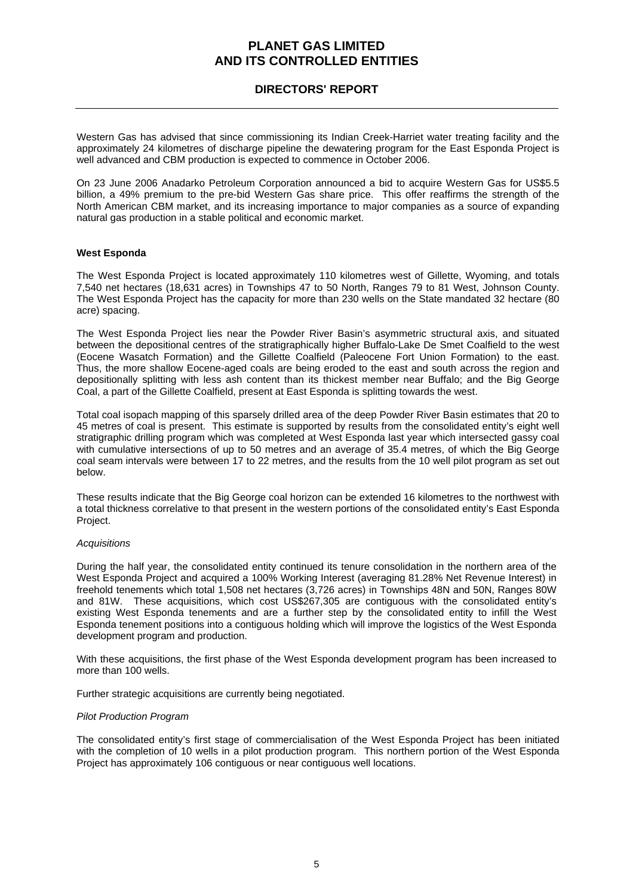### **DIRECTORS' REPORT**

Western Gas has advised that since commissioning its Indian Creek-Harriet water treating facility and the approximately 24 kilometres of discharge pipeline the dewatering program for the East Esponda Project is well advanced and CBM production is expected to commence in October 2006.

On 23 June 2006 Anadarko Petroleum Corporation announced a bid to acquire Western Gas for US\$5.5 billion, a 49% premium to the pre-bid Western Gas share price. This offer reaffirms the strength of the North American CBM market, and its increasing importance to major companies as a source of expanding natural gas production in a stable political and economic market.

### **West Esponda**

The West Esponda Project is located approximately 110 kilometres west of Gillette, Wyoming, and totals 7,540 net hectares (18,631 acres) in Townships 47 to 50 North, Ranges 79 to 81 West, Johnson County. The West Esponda Project has the capacity for more than 230 wells on the State mandated 32 hectare (80 acre) spacing.

The West Esponda Project lies near the Powder River Basin's asymmetric structural axis, and situated between the depositional centres of the stratigraphically higher Buffalo-Lake De Smet Coalfield to the west (Eocene Wasatch Formation) and the Gillette Coalfield (Paleocene Fort Union Formation) to the east. Thus, the more shallow Eocene-aged coals are being eroded to the east and south across the region and depositionally splitting with less ash content than its thickest member near Buffalo; and the Big George Coal, a part of the Gillette Coalfield, present at East Esponda is splitting towards the west.

Total coal isopach mapping of this sparsely drilled area of the deep Powder River Basin estimates that 20 to 45 metres of coal is present. This estimate is supported by results from the consolidated entity's eight well stratigraphic drilling program which was completed at West Esponda last year which intersected gassy coal with cumulative intersections of up to 50 metres and an average of 35.4 metres, of which the Big George coal seam intervals were between 17 to 22 metres, and the results from the 10 well pilot program as set out below.

These results indicate that the Big George coal horizon can be extended 16 kilometres to the northwest with a total thickness correlative to that present in the western portions of the consolidated entity's East Esponda Project.

#### *Acquisitions*

During the half year, the consolidated entity continued its tenure consolidation in the northern area of the West Esponda Project and acquired a 100% Working Interest (averaging 81.28% Net Revenue Interest) in freehold tenements which total 1,508 net hectares (3,726 acres) in Townships 48N and 50N, Ranges 80W and 81W. These acquisitions, which cost US\$267,305 are contiguous with the consolidated entity's existing West Esponda tenements and are a further step by the consolidated entity to infill the West Esponda tenement positions into a contiguous holding which will improve the logistics of the West Esponda development program and production.

With these acquisitions, the first phase of the West Esponda development program has been increased to more than 100 wells.

Further strategic acquisitions are currently being negotiated.

#### *Pilot Production Program*

The consolidated entity's first stage of commercialisation of the West Esponda Project has been initiated with the completion of 10 wells in a pilot production program. This northern portion of the West Esponda Project has approximately 106 contiguous or near contiguous well locations.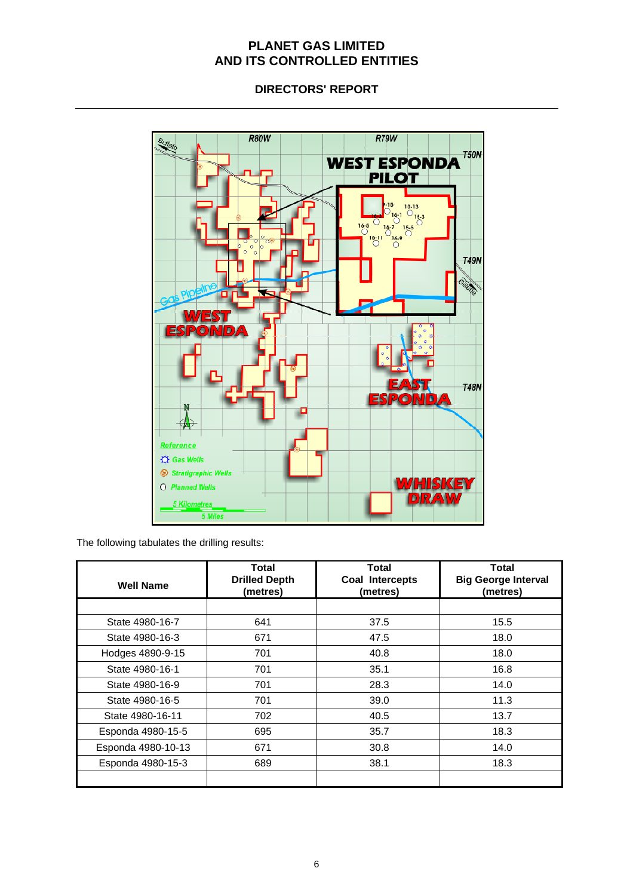**DIRECTORS' REPORT** 



The following tabulates the drilling results:

| Well Name          | <b>Total</b><br><b>Drilled Depth</b><br>(metres) | <b>Total</b><br>Coal Intercepts<br>(metres) | <b>Total</b><br><b>Big George Interval</b><br>(metres) |
|--------------------|--------------------------------------------------|---------------------------------------------|--------------------------------------------------------|
|                    |                                                  |                                             |                                                        |
| State 4980-16-7    | 641                                              | 37.5                                        | 15.5                                                   |
| State 4980-16-3    | 671                                              | 47.5                                        | 18.0                                                   |
| Hodges 4890-9-15   | 701                                              | 40.8                                        | 18.0                                                   |
| State 4980-16-1    | 701                                              | 35.1                                        | 16.8                                                   |
| State 4980-16-9    | 701                                              | 28.3                                        | 14.0                                                   |
| State 4980-16-5    | 701                                              | 39.0                                        | 11.3                                                   |
| State 4980-16-11   | 702                                              | 40.5                                        | 13.7                                                   |
| Esponda 4980-15-5  | 695                                              | 35.7                                        | 18.3                                                   |
| Esponda 4980-10-13 | 671                                              | 30.8                                        | 14.0                                                   |
| Esponda 4980-15-3  | 689                                              | 38.1                                        | 18.3                                                   |
|                    |                                                  |                                             |                                                        |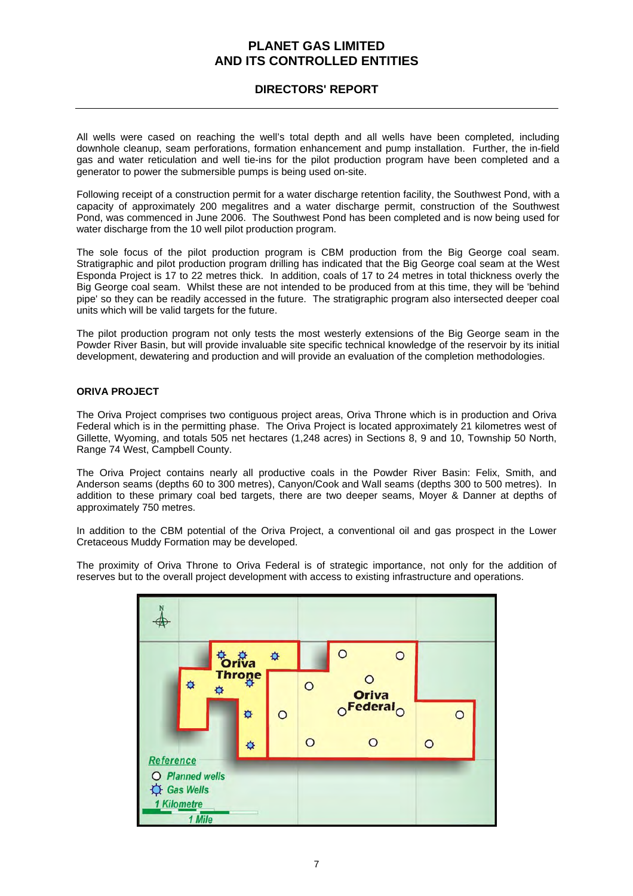### **DIRECTORS' REPORT**

All wells were cased on reaching the well's total depth and all wells have been completed, including downhole cleanup, seam perforations, formation enhancement and pump installation. Further, the in-field gas and water reticulation and well tie-ins for the pilot production program have been completed and a generator to power the submersible pumps is being used on-site.

Following receipt of a construction permit for a water discharge retention facility, the Southwest Pond, with a capacity of approximately 200 megalitres and a water discharge permit, construction of the Southwest Pond, was commenced in June 2006. The Southwest Pond has been completed and is now being used for water discharge from the 10 well pilot production program.

The sole focus of the pilot production program is CBM production from the Big George coal seam. Stratigraphic and pilot production program drilling has indicated that the Big George coal seam at the West Esponda Project is 17 to 22 metres thick. In addition, coals of 17 to 24 metres in total thickness overly the Big George coal seam. Whilst these are not intended to be produced from at this time, they will be 'behind pipe' so they can be readily accessed in the future. The stratigraphic program also intersected deeper coal units which will be valid targets for the future.

The pilot production program not only tests the most westerly extensions of the Big George seam in the Powder River Basin, but will provide invaluable site specific technical knowledge of the reservoir by its initial development, dewatering and production and will provide an evaluation of the completion methodologies.

### **ORIVA PROJECT**

The Oriva Project comprises two contiguous project areas, Oriva Throne which is in production and Oriva Federal which is in the permitting phase. The Oriva Project is located approximately 21 kilometres west of Gillette, Wyoming, and totals 505 net hectares (1,248 acres) in Sections 8, 9 and 10, Township 50 North, Range 74 West, Campbell County.

The Oriva Project contains nearly all productive coals in the Powder River Basin: Felix, Smith, and Anderson seams (depths 60 to 300 metres), Canyon/Cook and Wall seams (depths 300 to 500 metres). In addition to these primary coal bed targets, there are two deeper seams, Moyer & Danner at depths of approximately 750 metres.

In addition to the CBM potential of the Oriva Project, a conventional oil and gas prospect in the Lower Cretaceous Muddy Formation may be developed.

The proximity of Oriva Throne to Oriva Federal is of strategic importance, not only for the addition of reserves but to the overall project development with access to existing infrastructure and operations.

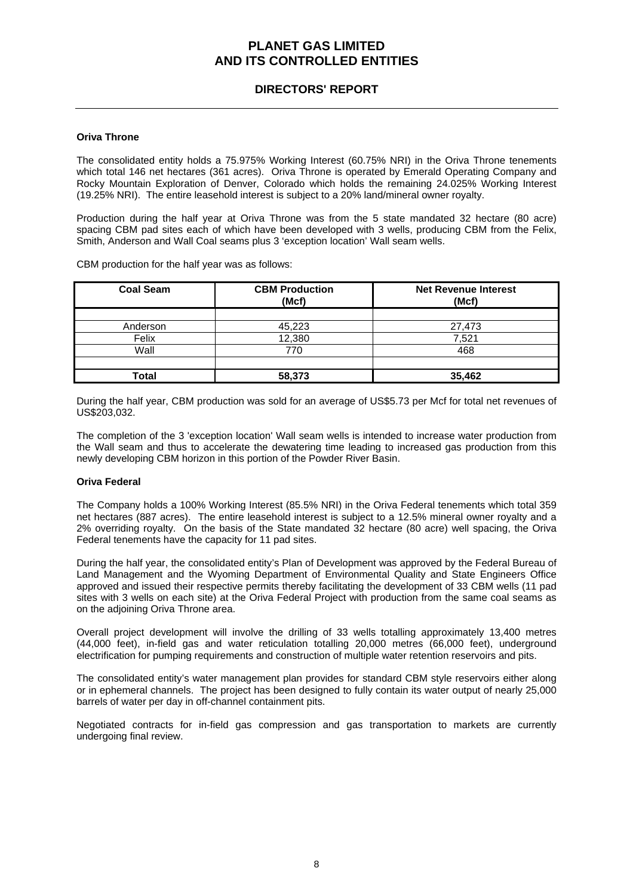### **DIRECTORS' REPORT**

#### **Oriva Throne**

The consolidated entity holds a 75.975% Working Interest (60.75% NRI) in the Oriva Throne tenements which total 146 net hectares (361 acres). Oriva Throne is operated by Emerald Operating Company and Rocky Mountain Exploration of Denver, Colorado which holds the remaining 24.025% Working Interest (19.25% NRI). The entire leasehold interest is subject to a 20% land/mineral owner royalty.

Production during the half year at Oriva Throne was from the 5 state mandated 32 hectare (80 acre) spacing CBM pad sites each of which have been developed with 3 wells, producing CBM from the Felix, Smith, Anderson and Wall Coal seams plus 3 'exception location' Wall seam wells.

CBM production for the half year was as follows:

| <b>Coal Seam</b> | <b>CBM Production</b><br>(Mcf) | <b>Net Revenue Interest</b><br>(Mcf) |
|------------------|--------------------------------|--------------------------------------|
|                  |                                |                                      |
| Anderson         | 45,223                         | 27,473                               |
| Felix            | 12,380                         | 7,521                                |
| Wall             | 770                            | 468                                  |
|                  |                                |                                      |
| Total            | 58,373                         | 35.462                               |

During the half year, CBM production was sold for an average of US\$5.73 per Mcf for total net revenues of US\$203,032.

The completion of the 3 'exception location' Wall seam wells is intended to increase water production from the Wall seam and thus to accelerate the dewatering time leading to increased gas production from this newly developing CBM horizon in this portion of the Powder River Basin.

#### **Oriva Federal**

The Company holds a 100% Working Interest (85.5% NRI) in the Oriva Federal tenements which total 359 net hectares (887 acres). The entire leasehold interest is subject to a 12.5% mineral owner royalty and a 2% overriding royalty. On the basis of the State mandated 32 hectare (80 acre) well spacing, the Oriva Federal tenements have the capacity for 11 pad sites.

During the half year, the consolidated entity's Plan of Development was approved by the Federal Bureau of Land Management and the Wyoming Department of Environmental Quality and State Engineers Office approved and issued their respective permits thereby facilitating the development of 33 CBM wells (11 pad sites with 3 wells on each site) at the Oriva Federal Project with production from the same coal seams as on the adjoining Oriva Throne area.

Overall project development will involve the drilling of 33 wells totalling approximately 13,400 metres (44,000 feet), in-field gas and water reticulation totalling 20,000 metres (66,000 feet), underground electrification for pumping requirements and construction of multiple water retention reservoirs and pits.

The consolidated entity's water management plan provides for standard CBM style reservoirs either along or in ephemeral channels. The project has been designed to fully contain its water output of nearly 25,000 barrels of water per day in off-channel containment pits.

Negotiated contracts for in-field gas compression and gas transportation to markets are currently undergoing final review.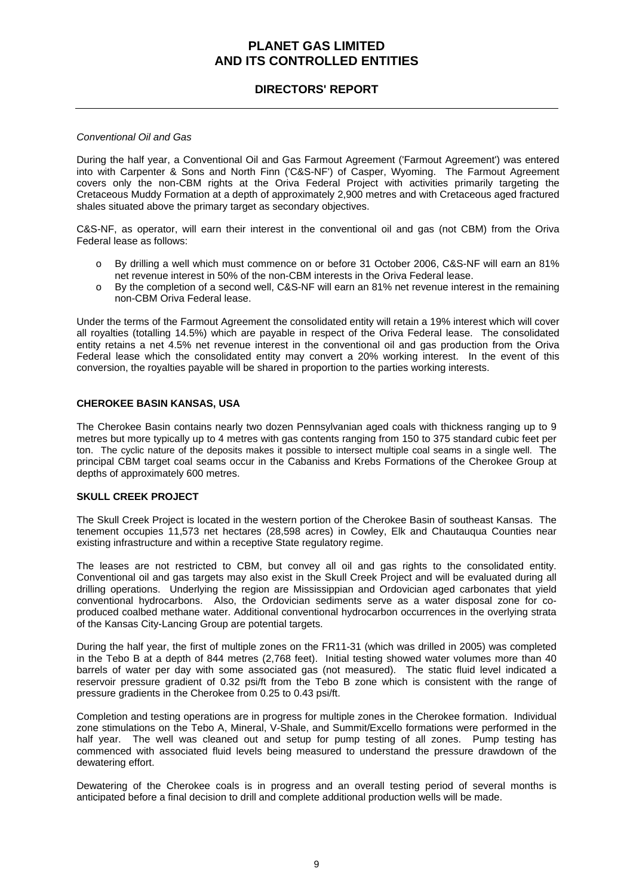### **DIRECTORS' REPORT**

#### *Conventional Oil and Gas*

During the half year, a Conventional Oil and Gas Farmout Agreement ('Farmout Agreement') was entered into with Carpenter & Sons and North Finn ('C&S-NF') of Casper, Wyoming. The Farmout Agreement covers only the non-CBM rights at the Oriva Federal Project with activities primarily targeting the Cretaceous Muddy Formation at a depth of approximately 2,900 metres and with Cretaceous aged fractured shales situated above the primary target as secondary objectives.

C&S-NF, as operator, will earn their interest in the conventional oil and gas (not CBM) from the Oriva Federal lease as follows:

- o By drilling a well which must commence on or before 31 October 2006, C&S-NF will earn an 81% net revenue interest in 50% of the non-CBM interests in the Oriva Federal lease.
- o By the completion of a second well, C&S-NF will earn an 81% net revenue interest in the remaining non-CBM Oriva Federal lease.

Under the terms of the Farmout Agreement the consolidated entity will retain a 19% interest which will cover all royalties (totalling 14.5%) which are payable in respect of the Oriva Federal lease. The consolidated entity retains a net 4.5% net revenue interest in the conventional oil and gas production from the Oriva Federal lease which the consolidated entity may convert a 20% working interest. In the event of this conversion, the royalties payable will be shared in proportion to the parties working interests.

#### **CHEROKEE BASIN KANSAS, USA**

The Cherokee Basin contains nearly two dozen Pennsylvanian aged coals with thickness ranging up to 9 metres but more typically up to 4 metres with gas contents ranging from 150 to 375 standard cubic feet per ton. The cyclic nature of the deposits makes it possible to intersect multiple coal seams in a single well. The principal CBM target coal seams occur in the Cabaniss and Krebs Formations of the Cherokee Group at depths of approximately 600 metres.

### **SKULL CREEK PROJECT**

The Skull Creek Project is located in the western portion of the Cherokee Basin of southeast Kansas. The tenement occupies 11,573 net hectares (28,598 acres) in Cowley, Elk and Chautauqua Counties near existing infrastructure and within a receptive State regulatory regime.

The leases are not restricted to CBM, but convey all oil and gas rights to the consolidated entity. Conventional oil and gas targets may also exist in the Skull Creek Project and will be evaluated during all drilling operations. Underlying the region are Mississippian and Ordovician aged carbonates that yield conventional hydrocarbons. Also, the Ordovician sediments serve as a water disposal zone for coproduced coalbed methane water. Additional conventional hydrocarbon occurrences in the overlying strata of the Kansas City-Lancing Group are potential targets.

During the half year, the first of multiple zones on the FR11-31 (which was drilled in 2005) was completed in the Tebo B at a depth of 844 metres (2,768 feet). Initial testing showed water volumes more than 40 barrels of water per day with some associated gas (not measured). The static fluid level indicated a reservoir pressure gradient of 0.32 psi/ft from the Tebo B zone which is consistent with the range of pressure gradients in the Cherokee from 0.25 to 0.43 psi/ft.

Completion and testing operations are in progress for multiple zones in the Cherokee formation. Individual zone stimulations on the Tebo A, Mineral, V-Shale, and Summit/Excello formations were performed in the half year. The well was cleaned out and setup for pump testing of all zones. Pump testing has commenced with associated fluid levels being measured to understand the pressure drawdown of the dewatering effort.

Dewatering of the Cherokee coals is in progress and an overall testing period of several months is anticipated before a final decision to drill and complete additional production wells will be made.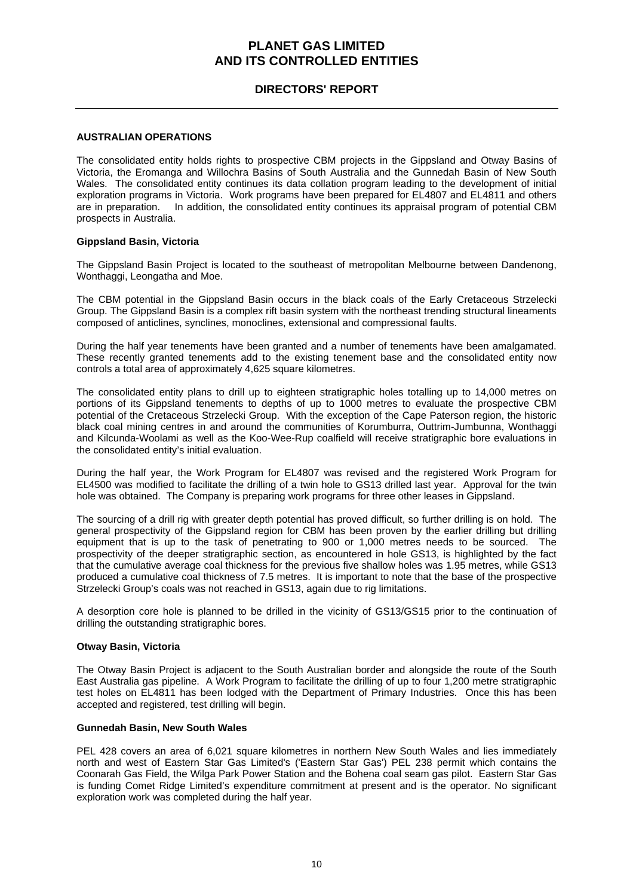### **DIRECTORS' REPORT**

#### **AUSTRALIAN OPERATIONS**

The consolidated entity holds rights to prospective CBM projects in the Gippsland and Otway Basins of Victoria, the Eromanga and Willochra Basins of South Australia and the Gunnedah Basin of New South Wales. The consolidated entity continues its data collation program leading to the development of initial exploration programs in Victoria. Work programs have been prepared for EL4807 and EL4811 and others are in preparation. In addition, the consolidated entity continues its appraisal program of potential CBM prospects in Australia.

#### **Gippsland Basin, Victoria**

The Gippsland Basin Project is located to the southeast of metropolitan Melbourne between Dandenong, Wonthaggi, Leongatha and Moe.

The CBM potential in the Gippsland Basin occurs in the black coals of the Early Cretaceous Strzelecki Group. The Gippsland Basin is a complex rift basin system with the northeast trending structural lineaments composed of anticlines, synclines, monoclines, extensional and compressional faults.

During the half year tenements have been granted and a number of tenements have been amalgamated. These recently granted tenements add to the existing tenement base and the consolidated entity now controls a total area of approximately 4,625 square kilometres.

The consolidated entity plans to drill up to eighteen stratigraphic holes totalling up to 14,000 metres on portions of its Gippsland tenements to depths of up to 1000 metres to evaluate the prospective CBM potential of the Cretaceous Strzelecki Group. With the exception of the Cape Paterson region, the historic black coal mining centres in and around the communities of Korumburra, Outtrim-Jumbunna, Wonthaggi and Kilcunda-Woolami as well as the Koo-Wee-Rup coalfield will receive stratigraphic bore evaluations in the consolidated entity's initial evaluation.

During the half year, the Work Program for EL4807 was revised and the registered Work Program for EL4500 was modified to facilitate the drilling of a twin hole to GS13 drilled last year. Approval for the twin hole was obtained. The Company is preparing work programs for three other leases in Gippsland.

The sourcing of a drill rig with greater depth potential has proved difficult, so further drilling is on hold. The general prospectivity of the Gippsland region for CBM has been proven by the earlier drilling but drilling equipment that is up to the task of penetrating to 900 or 1,000 metres needs to be sourced. The prospectivity of the deeper stratigraphic section, as encountered in hole GS13, is highlighted by the fact that the cumulative average coal thickness for the previous five shallow holes was 1.95 metres, while GS13 produced a cumulative coal thickness of 7.5 metres. It is important to note that the base of the prospective Strzelecki Group's coals was not reached in GS13, again due to rig limitations.

A desorption core hole is planned to be drilled in the vicinity of GS13/GS15 prior to the continuation of drilling the outstanding stratigraphic bores.

#### **Otway Basin, Victoria**

The Otway Basin Project is adjacent to the South Australian border and alongside the route of the South East Australia gas pipeline. A Work Program to facilitate the drilling of up to four 1,200 metre stratigraphic test holes on EL4811 has been lodged with the Department of Primary Industries. Once this has been accepted and registered, test drilling will begin.

#### **Gunnedah Basin, New South Wales**

PEL 428 covers an area of 6,021 square kilometres in northern New South Wales and lies immediately north and west of Eastern Star Gas Limited's ('Eastern Star Gas') PEL 238 permit which contains the Coonarah Gas Field, the Wilga Park Power Station and the Bohena coal seam gas pilot. Eastern Star Gas is funding Comet Ridge Limited's expenditure commitment at present and is the operator. No significant exploration work was completed during the half year.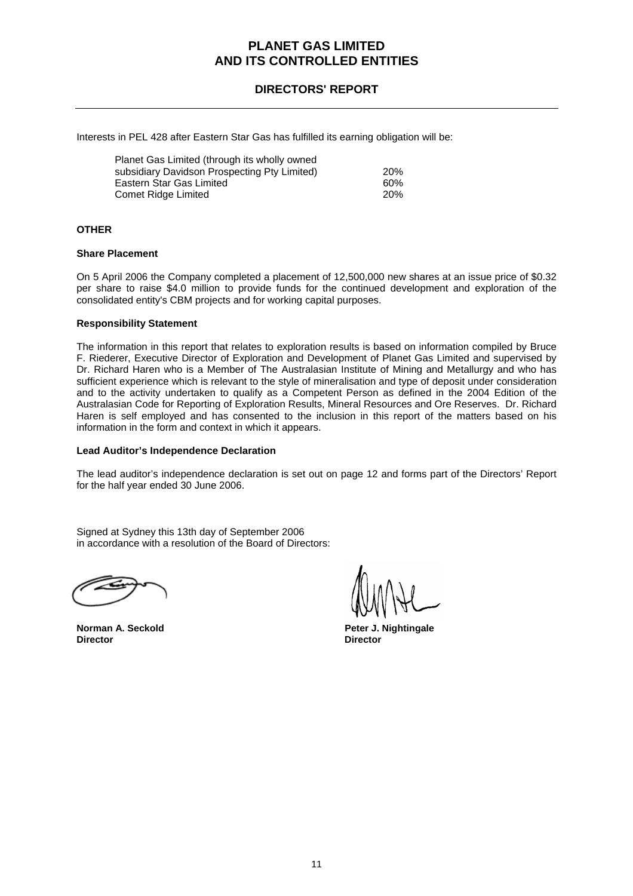### **DIRECTORS' REPORT**

Interests in PEL 428 after Eastern Star Gas has fulfilled its earning obligation will be:

| Planet Gas Limited (through its wholly owned |            |
|----------------------------------------------|------------|
| subsidiary Davidson Prospecting Pty Limited) | <b>20%</b> |
| Eastern Star Gas Limited                     | 60%        |
| Comet Ridge Limited                          | 20%        |

#### **OTHER**

#### **Share Placement**

On 5 April 2006 the Company completed a placement of 12,500,000 new shares at an issue price of \$0.32 per share to raise \$4.0 million to provide funds for the continued development and exploration of the consolidated entity's CBM projects and for working capital purposes.

#### **Responsibility Statement**

The information in this report that relates to exploration results is based on information compiled by Bruce F. Riederer, Executive Director of Exploration and Development of Planet Gas Limited and supervised by Dr. Richard Haren who is a Member of The Australasian Institute of Mining and Metallurgy and who has sufficient experience which is relevant to the style of mineralisation and type of deposit under consideration and to the activity undertaken to qualify as a Competent Person as defined in the 2004 Edition of the Australasian Code for Reporting of Exploration Results, Mineral Resources and Ore Reserves. Dr. Richard Haren is self employed and has consented to the inclusion in this report of the matters based on his information in the form and context in which it appears.

#### **Lead Auditor's Independence Declaration**

The lead auditor's independence declaration is set out on page 12 and forms part of the Directors' Report for the half year ended 30 June 2006.

Signed at Sydney this 13th day of September 2006 in accordance with a resolution of the Board of Directors:

**Director Director** 

**Norman A. Seckold Peter J. Nightingale**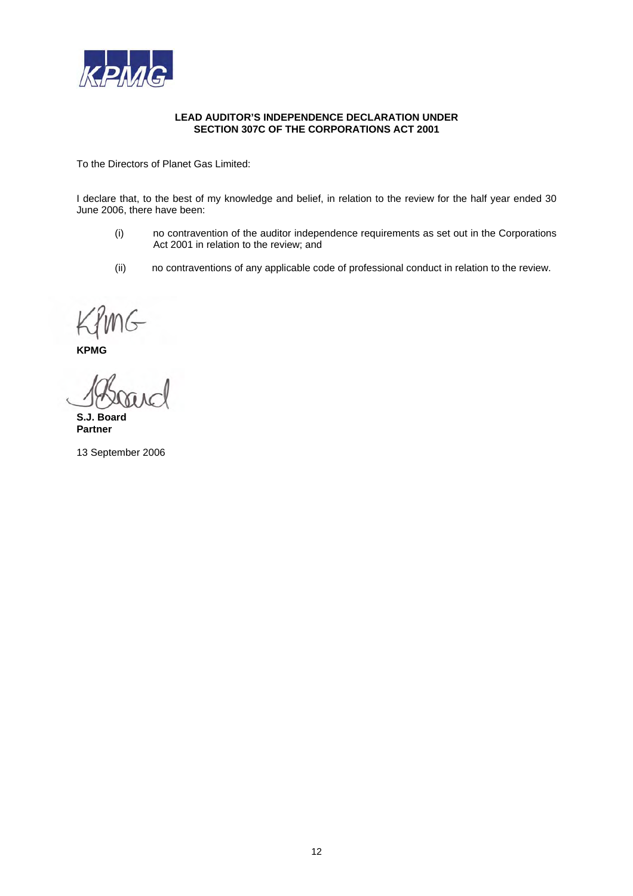

#### **LEAD AUDITOR'S INDEPENDENCE DECLARATION UNDER SECTION 307C OF THE CORPORATIONS ACT 2001**

To the Directors of Planet Gas Limited:

I declare that, to the best of my knowledge and belief, in relation to the review for the half year ended 30 June 2006, there have been:

- (i) no contravention of the auditor independence requirements as set out in the Corporations Act 2001 in relation to the review; and
- (ii) no contraventions of any applicable code of professional conduct in relation to the review.

**KPMG** 

**S.J. Board Partner** 

13 September 2006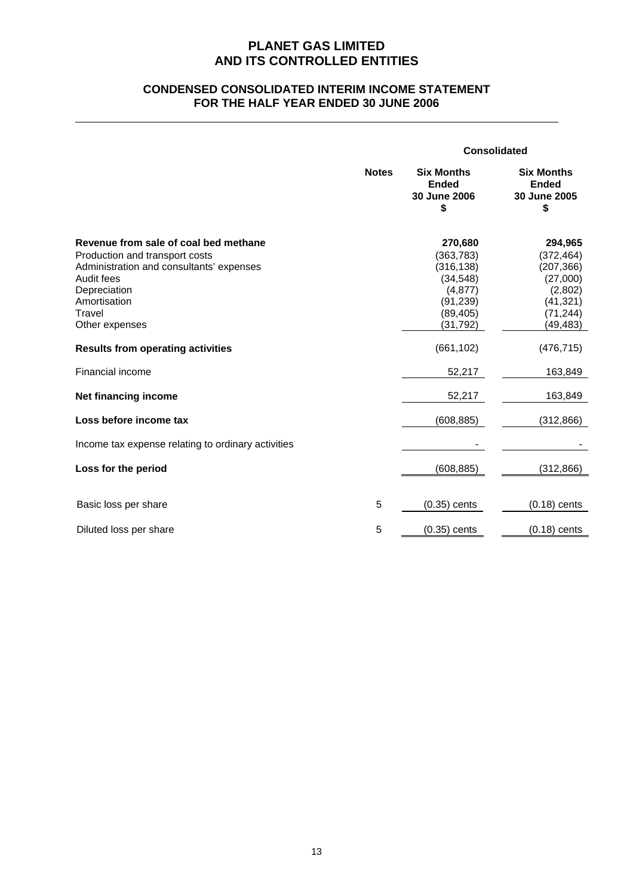### **CONDENSED CONSOLIDATED INTERIM INCOME STATEMENT FOR THE HALF YEAR ENDED 30 JUNE 2006**

|                                                                                                                                                                                               |              | <b>Consolidated</b>                                                                                |                                                                                                  |
|-----------------------------------------------------------------------------------------------------------------------------------------------------------------------------------------------|--------------|----------------------------------------------------------------------------------------------------|--------------------------------------------------------------------------------------------------|
|                                                                                                                                                                                               | <b>Notes</b> | <b>Six Months</b><br><b>Ended</b><br>30 June 2006<br>\$                                            | <b>Six Months</b><br><b>Ended</b><br>30 June 2005<br>\$                                          |
| Revenue from sale of coal bed methane<br>Production and transport costs<br>Administration and consultants' expenses<br>Audit fees<br>Depreciation<br>Amortisation<br>Travel<br>Other expenses |              | 270,680<br>(363, 783)<br>(316, 138)<br>(34, 548)<br>(4, 877)<br>(91, 239)<br>(89, 405)<br>(31,792) | 294,965<br>(372, 464)<br>(207, 366)<br>(27,000)<br>(2,802)<br>(41, 321)<br>(71, 244)<br>(49,483) |
| <b>Results from operating activities</b>                                                                                                                                                      |              | (661, 102)                                                                                         | (476, 715)                                                                                       |
| Financial income                                                                                                                                                                              |              | 52,217                                                                                             | 163,849                                                                                          |
| Net financing income                                                                                                                                                                          |              | 52,217                                                                                             | 163,849                                                                                          |
| Loss before income tax                                                                                                                                                                        |              | (608, 885)                                                                                         | (312, 866)                                                                                       |
| Income tax expense relating to ordinary activities                                                                                                                                            |              |                                                                                                    |                                                                                                  |
| Loss for the period                                                                                                                                                                           |              | (608, 885)                                                                                         | (312, 866)                                                                                       |
| Basic loss per share                                                                                                                                                                          | 5            | $(0.35)$ cents                                                                                     | $(0.18)$ cents                                                                                   |
| Diluted loss per share                                                                                                                                                                        | 5            | $(0.35)$ cents                                                                                     | $(0.18)$ cents                                                                                   |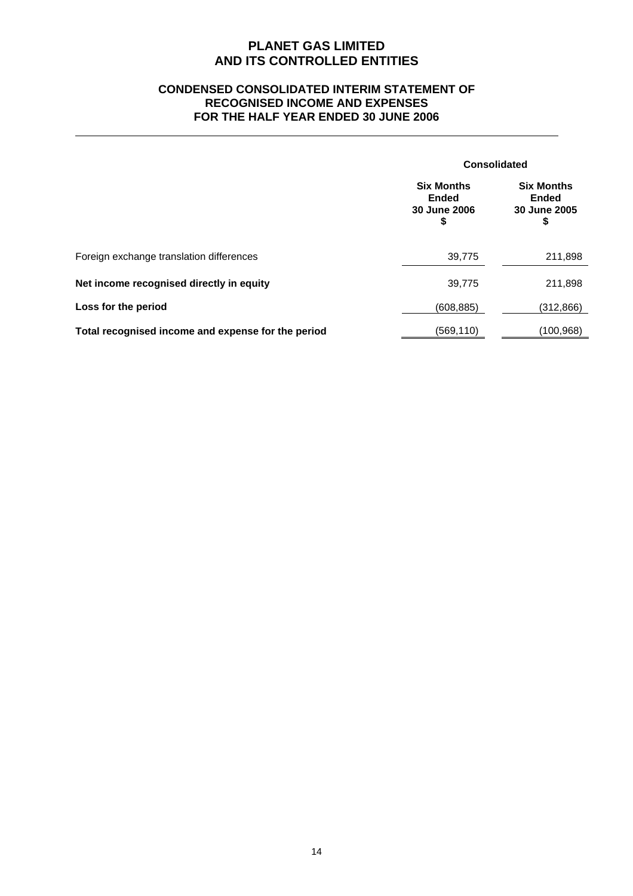### **CONDENSED CONSOLIDATED INTERIM STATEMENT OF RECOGNISED INCOME AND EXPENSES FOR THE HALF YEAR ENDED 30 JUNE 2006**

|                                                    |                                                         | <b>Consolidated</b>                                     |  |
|----------------------------------------------------|---------------------------------------------------------|---------------------------------------------------------|--|
|                                                    | <b>Six Months</b><br><b>Ended</b><br>30 June 2006<br>\$ | <b>Six Months</b><br><b>Ended</b><br>30 June 2005<br>\$ |  |
| Foreign exchange translation differences           | 39,775                                                  | 211,898                                                 |  |
| Net income recognised directly in equity           | 39,775                                                  | 211,898                                                 |  |
| Loss for the period                                | (608, 885)                                              | (312, 866)                                              |  |
| Total recognised income and expense for the period | (569,110)                                               | (100, 968)                                              |  |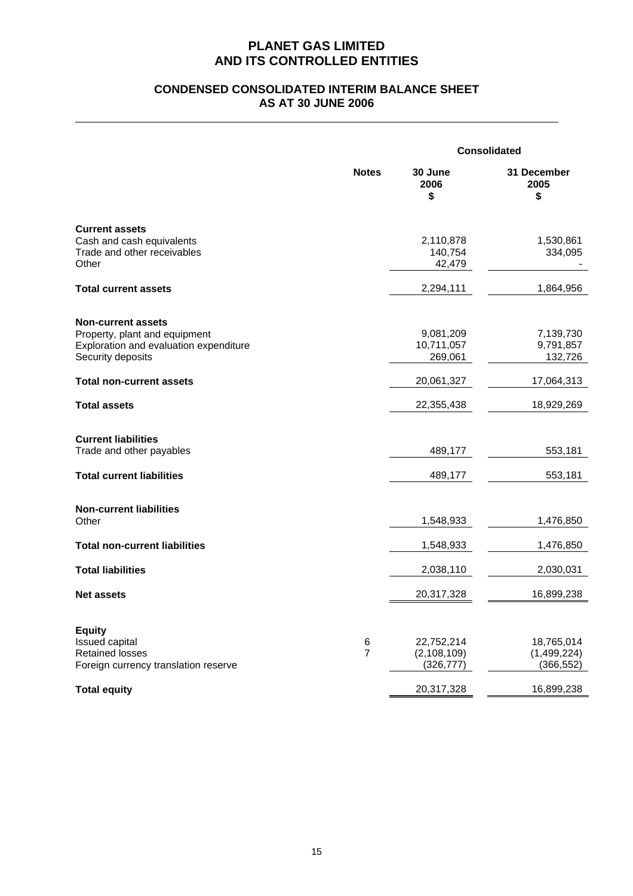### **CONDENSED CONSOLIDATED INTERIM BALANCE SHEET AS AT 30 JUNE 2006**

|                                                                                                                           |                     | <b>Consolidated</b>                       |                                         |  |
|---------------------------------------------------------------------------------------------------------------------------|---------------------|-------------------------------------------|-----------------------------------------|--|
|                                                                                                                           | <b>Notes</b>        | 30 June<br>2006<br>\$                     | 31 December<br>2005<br>\$               |  |
| <b>Current assets</b><br>Cash and cash equivalents<br>Trade and other receivables<br>Other                                |                     | 2,110,878<br>140,754<br>42,479            | 1,530,861<br>334,095                    |  |
| <b>Total current assets</b>                                                                                               |                     | 2,294,111                                 | 1,864,956                               |  |
| <b>Non-current assets</b><br>Property, plant and equipment<br>Exploration and evaluation expenditure<br>Security deposits |                     | 9,081,209<br>10,711,057<br>269,061        | 7,139,730<br>9,791,857<br>132,726       |  |
| <b>Total non-current assets</b>                                                                                           |                     | 20,061,327                                | 17,064,313                              |  |
| <b>Total assets</b>                                                                                                       |                     | 22,355,438                                | 18,929,269                              |  |
| <b>Current liabilities</b><br>Trade and other payables<br><b>Total current liabilities</b>                                |                     | 489,177<br>489,177                        | 553,181<br>553,181                      |  |
| <b>Non-current liabilities</b><br>Other                                                                                   |                     | 1,548,933                                 | 1,476,850                               |  |
| <b>Total non-current liabilities</b>                                                                                      |                     | 1,548,933                                 | 1,476,850                               |  |
| <b>Total liabilities</b>                                                                                                  |                     | 2,038,110                                 | 2,030,031                               |  |
| <b>Net assets</b>                                                                                                         |                     | 20,317,328                                | 16,899,238                              |  |
| <b>Equity</b><br><b>Issued capital</b><br><b>Retained losses</b><br>Foreign currency translation reserve                  | 6<br>$\overline{7}$ | 22,752,214<br>(2, 108, 109)<br>(326, 777) | 18,765,014<br>(1,499,224)<br>(366, 552) |  |
| <b>Total equity</b>                                                                                                       |                     | 20,317,328                                | 16,899,238                              |  |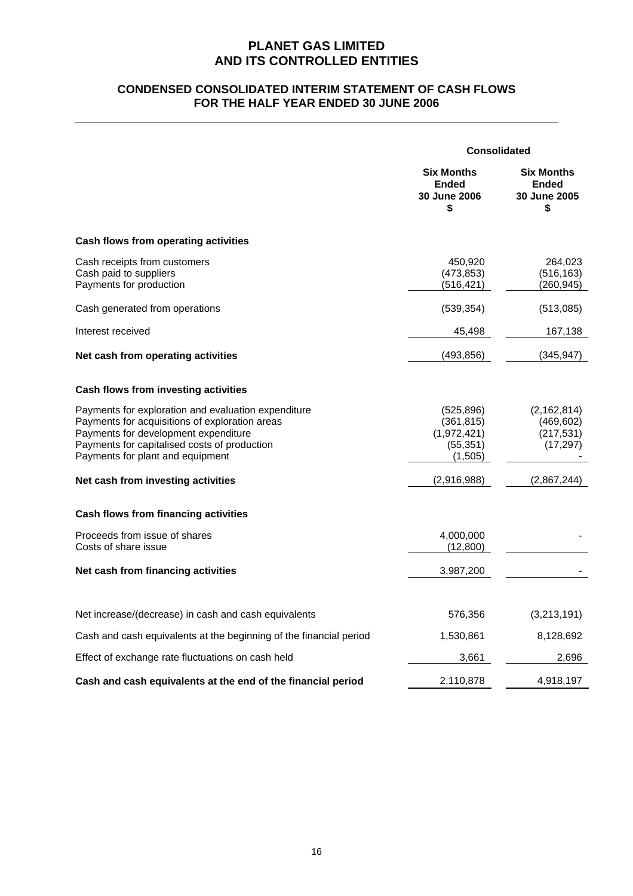### **CONDENSED CONSOLIDATED INTERIM STATEMENT OF CASH FLOWS FOR THE HALF YEAR ENDED 30 JUNE 2006**

|                                                                                                                                                                                                                                   | <b>Consolidated</b>                                             |                                                                |
|-----------------------------------------------------------------------------------------------------------------------------------------------------------------------------------------------------------------------------------|-----------------------------------------------------------------|----------------------------------------------------------------|
|                                                                                                                                                                                                                                   | <b>Six Months</b><br><b>Ended</b><br><b>30 June 2006</b><br>\$  | <b>Six Months</b><br><b>Ended</b><br><b>30 June 2005</b><br>\$ |
| Cash flows from operating activities                                                                                                                                                                                              |                                                                 |                                                                |
| Cash receipts from customers<br>Cash paid to suppliers<br>Payments for production                                                                                                                                                 | 450,920<br>(473.853)<br>(516, 421)                              | 264,023<br>(516, 163)<br>(260, 945)                            |
| Cash generated from operations                                                                                                                                                                                                    | (539, 354)                                                      | (513,085)                                                      |
| Interest received                                                                                                                                                                                                                 | 45,498                                                          | 167,138                                                        |
| Net cash from operating activities                                                                                                                                                                                                | (493, 856)                                                      | (345, 947)                                                     |
| Cash flows from investing activities                                                                                                                                                                                              |                                                                 |                                                                |
| Payments for exploration and evaluation expenditure<br>Payments for acquisitions of exploration areas<br>Payments for development expenditure<br>Payments for capitalised costs of production<br>Payments for plant and equipment | (525, 896)<br>(361, 815)<br>(1,972,421)<br>(55, 351)<br>(1,505) | (2, 162, 814)<br>(469, 602)<br>(217, 531)<br>(17, 297)         |
| Net cash from investing activities                                                                                                                                                                                                | (2,916,988)                                                     | (2,867,244)                                                    |
| <b>Cash flows from financing activities</b>                                                                                                                                                                                       |                                                                 |                                                                |
| Proceeds from issue of shares<br>Costs of share issue                                                                                                                                                                             | 4,000,000<br>(12,800)                                           |                                                                |
| Net cash from financing activities                                                                                                                                                                                                | 3,987,200                                                       |                                                                |
| Net increase/(decrease) in cash and cash equivalents                                                                                                                                                                              | 576,356                                                         | (3,213,191)                                                    |
| Cash and cash equivalents at the beginning of the financial period                                                                                                                                                                | 1,530,861                                                       | 8,128,692                                                      |
| Effect of exchange rate fluctuations on cash held                                                                                                                                                                                 | 3,661                                                           | 2,696                                                          |
| Cash and cash equivalents at the end of the financial period                                                                                                                                                                      | 2,110,878                                                       | 4,918,197                                                      |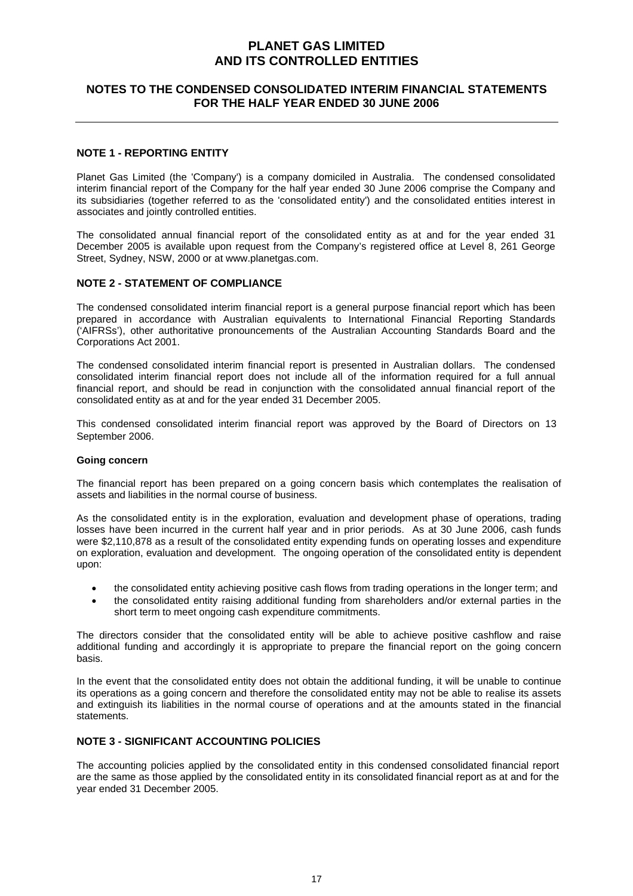### **NOTES TO THE CONDENSED CONSOLIDATED INTERIM FINANCIAL STATEMENTS FOR THE HALF YEAR ENDED 30 JUNE 2006**

### **NOTE 1 - REPORTING ENTITY**

Planet Gas Limited (the 'Company') is a company domiciled in Australia. The condensed consolidated interim financial report of the Company for the half year ended 30 June 2006 comprise the Company and its subsidiaries (together referred to as the 'consolidated entity') and the consolidated entities interest in associates and jointly controlled entities.

The consolidated annual financial report of the consolidated entity as at and for the year ended 31 December 2005 is available upon request from the Company's registered office at Level 8, 261 George Street, Sydney, NSW, 2000 or at www.planetgas.com.

#### **NOTE 2 - STATEMENT OF COMPLIANCE**

The condensed consolidated interim financial report is a general purpose financial report which has been prepared in accordance with Australian equivalents to International Financial Reporting Standards ('AIFRSs'), other authoritative pronouncements of the Australian Accounting Standards Board and the Corporations Act 2001.

The condensed consolidated interim financial report is presented in Australian dollars. The condensed consolidated interim financial report does not include all of the information required for a full annual financial report, and should be read in conjunction with the consolidated annual financial report of the consolidated entity as at and for the year ended 31 December 2005.

This condensed consolidated interim financial report was approved by the Board of Directors on 13 September 2006.

#### **Going concern**

The financial report has been prepared on a going concern basis which contemplates the realisation of assets and liabilities in the normal course of business.

As the consolidated entity is in the exploration, evaluation and development phase of operations, trading losses have been incurred in the current half year and in prior periods. As at 30 June 2006, cash funds were \$2,110,878 as a result of the consolidated entity expending funds on operating losses and expenditure on exploration, evaluation and development. The ongoing operation of the consolidated entity is dependent upon:

- the consolidated entity achieving positive cash flows from trading operations in the longer term; and
- the consolidated entity raising additional funding from shareholders and/or external parties in the short term to meet ongoing cash expenditure commitments.

The directors consider that the consolidated entity will be able to achieve positive cashflow and raise additional funding and accordingly it is appropriate to prepare the financial report on the going concern basis.

In the event that the consolidated entity does not obtain the additional funding, it will be unable to continue its operations as a going concern and therefore the consolidated entity may not be able to realise its assets and extinguish its liabilities in the normal course of operations and at the amounts stated in the financial statements.

### **NOTE 3 - SIGNIFICANT ACCOUNTING POLICIES**

The accounting policies applied by the consolidated entity in this condensed consolidated financial report are the same as those applied by the consolidated entity in its consolidated financial report as at and for the year ended 31 December 2005.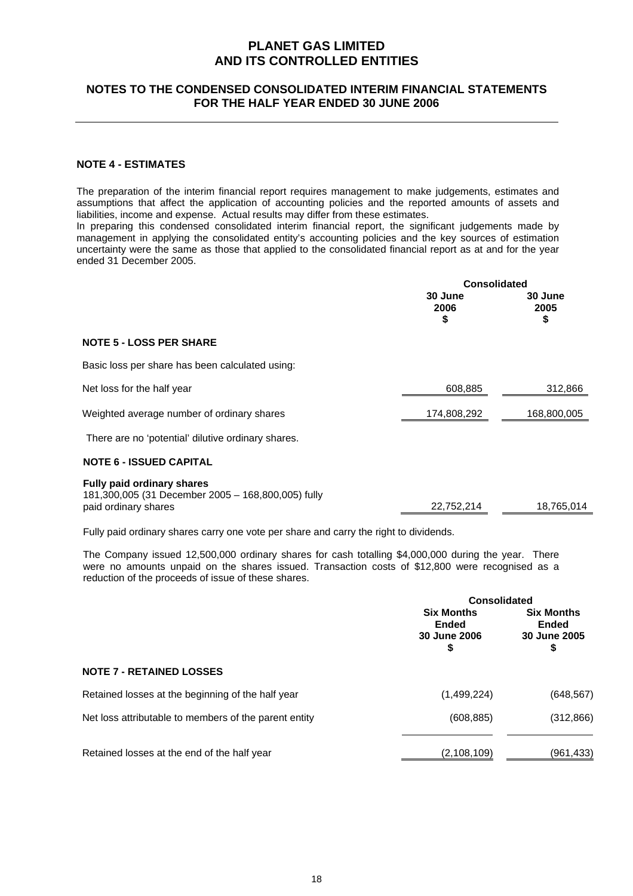### **NOTES TO THE CONDENSED CONSOLIDATED INTERIM FINANCIAL STATEMENTS FOR THE HALF YEAR ENDED 30 JUNE 2006**

#### **NOTE 4 - ESTIMATES**

The preparation of the interim financial report requires management to make judgements, estimates and assumptions that affect the application of accounting policies and the reported amounts of assets and liabilities, income and expense. Actual results may differ from these estimates.

In preparing this condensed consolidated interim financial report, the significant judgements made by management in applying the consolidated entity's accounting policies and the key sources of estimation uncertainty were the same as those that applied to the consolidated financial report as at and for the year ended 31 December 2005.

| <b>Consolidated</b>   |                       |
|-----------------------|-----------------------|
| 30 June<br>2006<br>\$ | 30 June<br>2005<br>\$ |
|                       |                       |
|                       |                       |
| 608,885               | 312,866               |
| 174,808,292           | 168,800,005           |
|                       |                       |
|                       |                       |
| 22,752,214            | 18,765,014            |
|                       |                       |

Fully paid ordinary shares carry one vote per share and carry the right to dividends.

The Company issued 12,500,000 ordinary shares for cash totalling \$4,000,000 during the year. There were no amounts unpaid on the shares issued. Transaction costs of \$12,800 were recognised as a reduction of the proceeds of issue of these shares.

|                                                       | <b>Consolidated</b>                                     |                                                         |
|-------------------------------------------------------|---------------------------------------------------------|---------------------------------------------------------|
|                                                       | <b>Six Months</b><br><b>Ended</b><br>30 June 2006<br>\$ | <b>Six Months</b><br><b>Ended</b><br>30 June 2005<br>\$ |
| <b>NOTE 7 - RETAINED LOSSES</b>                       |                                                         |                                                         |
| Retained losses at the beginning of the half year     | (1,499,224)                                             | (648, 567)                                              |
| Net loss attributable to members of the parent entity | (608, 885)                                              | (312, 866)                                              |
| Retained losses at the end of the half year           | (2, 108, 109)                                           | (961,433)                                               |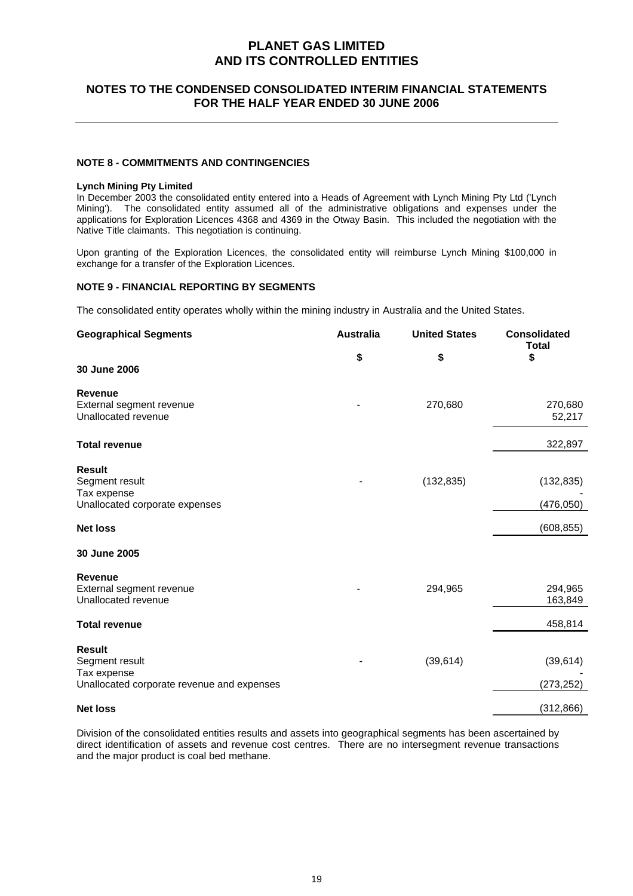### **NOTES TO THE CONDENSED CONSOLIDATED INTERIM FINANCIAL STATEMENTS FOR THE HALF YEAR ENDED 30 JUNE 2006**

#### **NOTE 8 - COMMITMENTS AND CONTINGENCIES**

#### **Lynch Mining Pty Limited**

In December 2003 the consolidated entity entered into a Heads of Agreement with Lynch Mining Pty Ltd ('Lynch Mining'). The consolidated entity assumed all of the administrative obligations and expenses under the applications for Exploration Licences 4368 and 4369 in the Otway Basin. This included the negotiation with the Native Title claimants. This negotiation is continuing.

Upon granting of the Exploration Licences, the consolidated entity will reimburse Lynch Mining \$100,000 in exchange for a transfer of the Exploration Licences.

#### **NOTE 9 - FINANCIAL REPORTING BY SEGMENTS**

The consolidated entity operates wholly within the mining industry in Australia and the United States.

| <b>Geographical Segments</b>               | <b>Australia</b> | <b>United States</b> | <b>Consolidated</b><br><b>Total</b> |
|--------------------------------------------|------------------|----------------------|-------------------------------------|
|                                            | \$               | \$                   | \$                                  |
| 30 June 2006                               |                  |                      |                                     |
| <b>Revenue</b>                             |                  |                      |                                     |
| External segment revenue                   |                  | 270,680              | 270,680                             |
| Unallocated revenue                        |                  |                      | 52,217                              |
| <b>Total revenue</b>                       |                  |                      | 322,897                             |
| <b>Result</b>                              |                  |                      |                                     |
| Segment result                             |                  | (132, 835)           | (132, 835)                          |
| Tax expense                                |                  |                      |                                     |
| Unallocated corporate expenses             |                  |                      | (476, 050)                          |
| <b>Net loss</b>                            |                  |                      | (608, 855)                          |
| 30 June 2005                               |                  |                      |                                     |
| <b>Revenue</b>                             |                  |                      |                                     |
| External segment revenue                   |                  | 294,965              | 294,965                             |
| Unallocated revenue                        |                  |                      | 163,849                             |
| <b>Total revenue</b>                       |                  |                      | 458,814                             |
| <b>Result</b>                              |                  |                      |                                     |
| Segment result                             |                  | (39, 614)            | (39, 614)                           |
| Tax expense                                |                  |                      |                                     |
| Unallocated corporate revenue and expenses |                  |                      | (273, 252)                          |
| <b>Net loss</b>                            |                  |                      | (312, 866)                          |

Division of the consolidated entities results and assets into geographical segments has been ascertained by direct identification of assets and revenue cost centres. There are no intersegment revenue transactions and the major product is coal bed methane.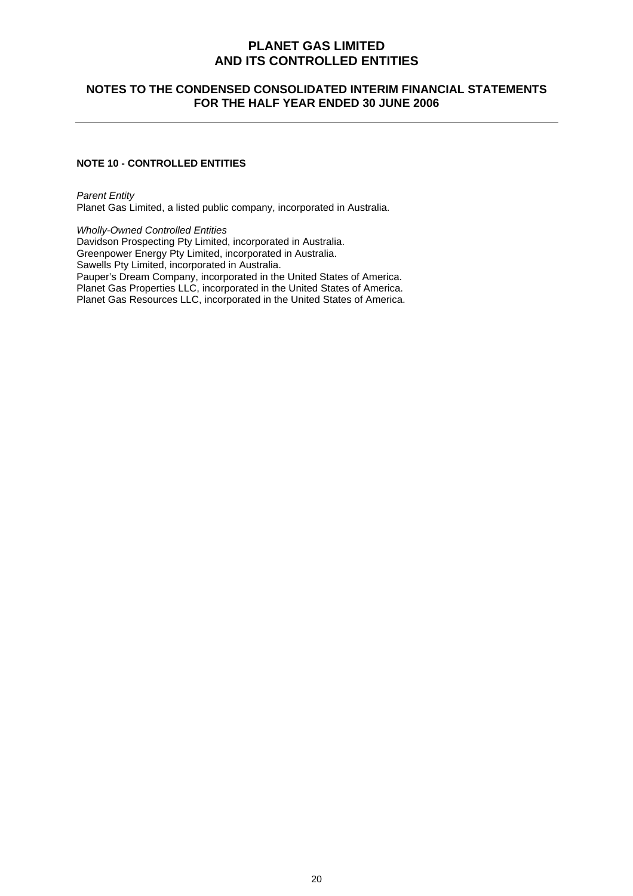### **NOTES TO THE CONDENSED CONSOLIDATED INTERIM FINANCIAL STATEMENTS FOR THE HALF YEAR ENDED 30 JUNE 2006**

### **NOTE 10 - CONTROLLED ENTITIES**

*Parent Entity*  Planet Gas Limited, a listed public company, incorporated in Australia.

*Wholly-Owned Controlled Entities*  Davidson Prospecting Pty Limited, incorporated in Australia. Greenpower Energy Pty Limited, incorporated in Australia. Sawells Pty Limited, incorporated in Australia. Pauper's Dream Company, incorporated in the United States of America. Planet Gas Properties LLC, incorporated in the United States of America. Planet Gas Resources LLC, incorporated in the United States of America.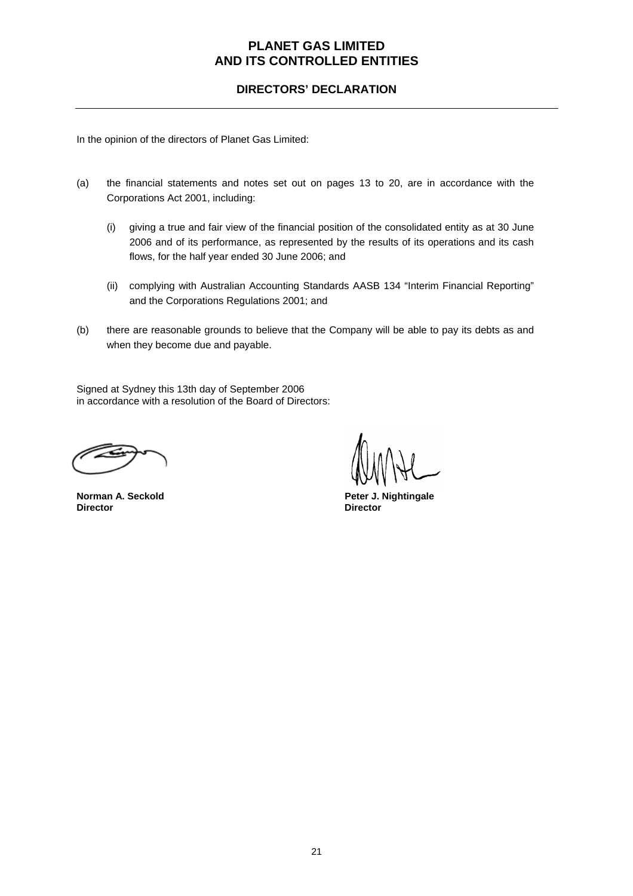**DIRECTORS' DECLARATION** 

In the opinion of the directors of Planet Gas Limited:

- (a) the financial statements and notes set out on pages 13 to 20, are in accordance with the Corporations Act 2001, including:
	- (i) giving a true and fair view of the financial position of the consolidated entity as at 30 June 2006 and of its performance, as represented by the results of its operations and its cash flows, for the half year ended 30 June 2006; and
	- (ii) complying with Australian Accounting Standards AASB 134 "Interim Financial Reporting" and the Corporations Regulations 2001; and
- (b) there are reasonable grounds to believe that the Company will be able to pay its debts as and when they become due and payable.

Signed at Sydney this 13th day of September 2006 in accordance with a resolution of the Board of Directors:

**Norman A. Seckold Community Community Community Peter J. Nightingale**<br> **Director Director Director**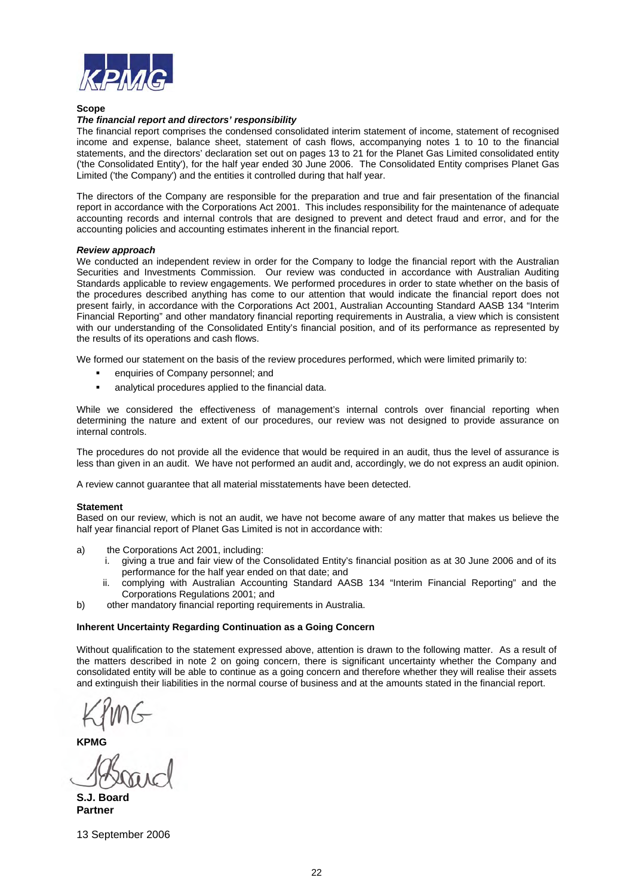

#### **Scope**

#### *The financial report and directors' responsibility*

The financial report comprises the condensed consolidated interim statement of income, statement of recognised income and expense, balance sheet, statement of cash flows, accompanying notes 1 to 10 to the financial statements, and the directors' declaration set out on pages 13 to 21 for the Planet Gas Limited consolidated entity ('the Consolidated Entity'), for the half year ended 30 June 2006. The Consolidated Entity comprises Planet Gas Limited ('the Company') and the entities it controlled during that half year.

The directors of the Company are responsible for the preparation and true and fair presentation of the financial report in accordance with the Corporations Act 2001. This includes responsibility for the maintenance of adequate accounting records and internal controls that are designed to prevent and detect fraud and error, and for the accounting policies and accounting estimates inherent in the financial report.

#### *Review approach*

We conducted an independent review in order for the Company to lodge the financial report with the Australian Securities and Investments Commission. Our review was conducted in accordance with Australian Auditing Standards applicable to review engagements. We performed procedures in order to state whether on the basis of the procedures described anything has come to our attention that would indicate the financial report does not present fairly, in accordance with the Corporations Act 2001, Australian Accounting Standard AASB 134 "Interim Financial Reporting" and other mandatory financial reporting requirements in Australia, a view which is consistent with our understanding of the Consolidated Entity's financial position, and of its performance as represented by the results of its operations and cash flows.

We formed our statement on the basis of the review procedures performed, which were limited primarily to:

- enquiries of Company personnel; and
- analytical procedures applied to the financial data.

While we considered the effectiveness of management's internal controls over financial reporting when determining the nature and extent of our procedures, our review was not designed to provide assurance on internal controls.

The procedures do not provide all the evidence that would be required in an audit, thus the level of assurance is less than given in an audit. We have not performed an audit and, accordingly, we do not express an audit opinion.

A review cannot guarantee that all material misstatements have been detected.

#### **Statement**

Based on our review, which is not an audit, we have not become aware of any matter that makes us believe the half year financial report of Planet Gas Limited is not in accordance with:

- a) the Corporations Act 2001, including:
	- i. giving a true and fair view of the Consolidated Entity's financial position as at 30 June 2006 and of its performance for the half year ended on that date; and
	- ii. complying with Australian Accounting Standard AASB 134 "Interim Financial Reporting" and the Corporations Regulations 2001; and
- b) other mandatory financial reporting requirements in Australia.

#### **Inherent Uncertainty Regarding Continuation as a Going Concern**

Without qualification to the statement expressed above, attention is drawn to the following matter. As a result of the matters described in note 2 on going concern, there is significant uncertainty whether the Company and consolidated entity will be able to continue as a going concern and therefore whether they will realise their assets and extinguish their liabilities in the normal course of business and at the amounts stated in the financial report.

**KPMG** 

**S.J. Board Partner** 

13 September 2006